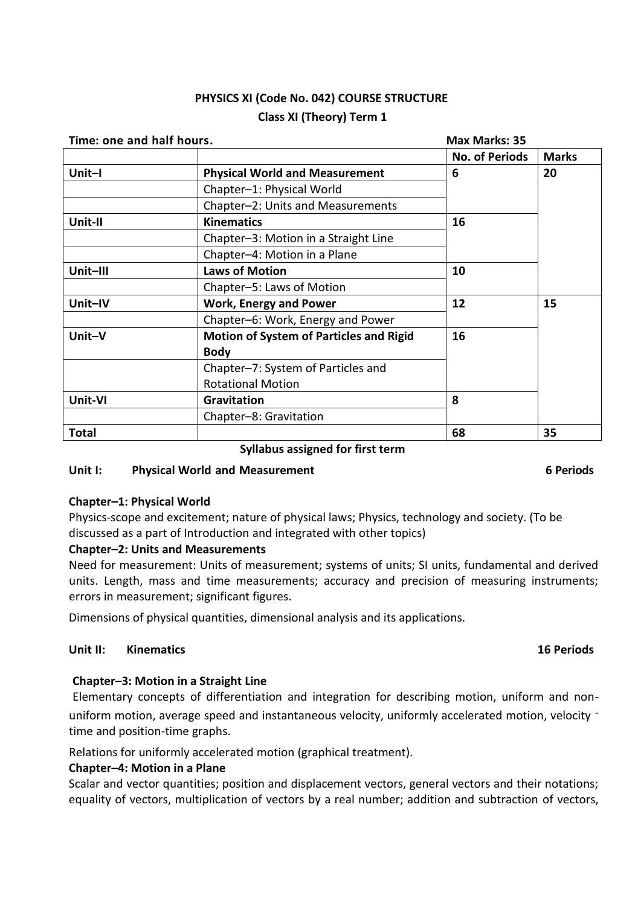# **PHYSICS XI (Code No. 042) COURSE STRUCTURE Class XI (Theory) Term 1**

| Time: one and half hours. |                                                | <b>Max Marks: 35</b>  |              |
|---------------------------|------------------------------------------------|-----------------------|--------------|
|                           |                                                | <b>No. of Periods</b> | <b>Marks</b> |
| Unit-I                    | <b>Physical World and Measurement</b>          | 6                     | 20           |
|                           | Chapter-1: Physical World                      |                       |              |
|                           | Chapter-2: Units and Measurements              |                       |              |
| Unit-II                   | <b>Kinematics</b>                              | 16                    |              |
|                           | Chapter-3: Motion in a Straight Line           |                       |              |
|                           | Chapter-4: Motion in a Plane                   |                       |              |
| Unit-III                  | <b>Laws of Motion</b>                          | 10                    |              |
|                           | Chapter-5: Laws of Motion                      |                       |              |
| Unit-IV                   | <b>Work, Energy and Power</b>                  | 12                    | 15           |
|                           | Chapter-6: Work, Energy and Power              |                       |              |
| Unit-V                    | <b>Motion of System of Particles and Rigid</b> | 16                    |              |
|                           | <b>Body</b>                                    |                       |              |
|                           | Chapter-7: System of Particles and             |                       |              |
|                           | <b>Rotational Motion</b>                       |                       |              |
| Unit-VI                   | Gravitation                                    | 8                     |              |
|                           | Chapter-8: Gravitation                         |                       |              |
| <b>Total</b>              |                                                | 68                    | 35           |

### **Syllabus assigned for first term**

# **Unit I: Physical World and Measurement 6 Periods**

# **Chapter–1: Physical World**

Physics-scope and excitement; nature of physical laws; Physics, technology and society. (To be discussed as a part of Introduction and integrated with other topics)

# **Chapter–2: Units and Measurements**

Need for measurement: Units of measurement; systems of units; SI units, fundamental and derived units. Length, mass and time measurements; accuracy and precision of measuring instruments; errors in measurement; significant figures.

Dimensions of physical quantities, dimensional analysis and its applications.

### **Unit II: Kinematics 16 Periods**

# **Chapter–3: Motion in a Straight Line**

Elementary concepts of differentiation and integration for describing motion, uniform and nonuniform motion, average speed and instantaneous velocity, uniformly accelerated motion, velocity time and position-time graphs.

Relations for uniformly accelerated motion (graphical treatment).

#### **Chapter–4: Motion in a Plane**

Scalar and vector quantities; position and displacement vectors, general vectors and their notations; equality of vectors, multiplication of vectors by a real number; addition and subtraction of vectors,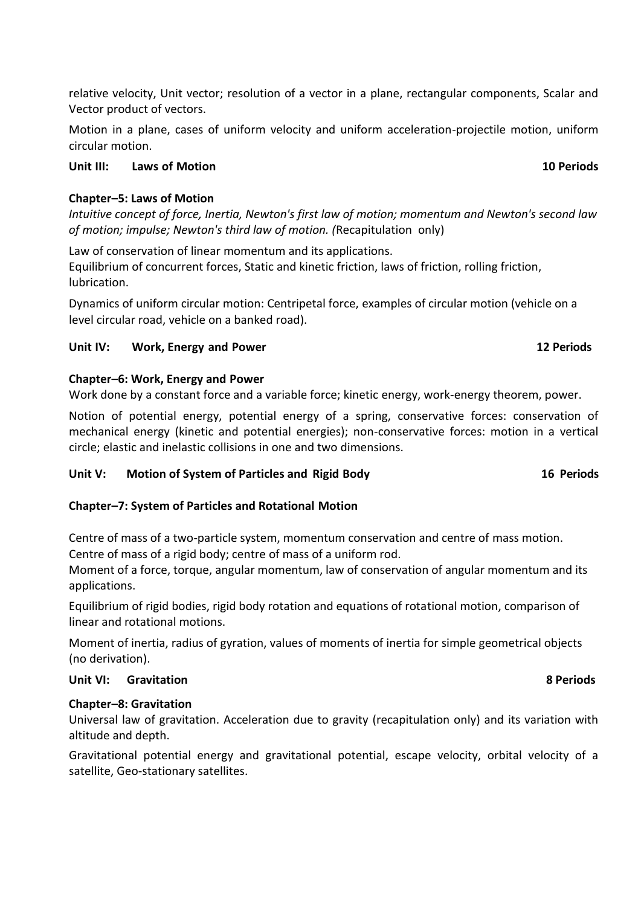relative velocity, Unit vector; resolution of a vector in a plane, rectangular components, Scalar and Vector product of vectors.

Motion in a plane, cases of uniform velocity and uniform acceleration-projectile motion, uniform circular motion.

# **Chapter–5: Laws of Motion**

*Intuitive concept of force, Inertia, Newton's first law of motion; momentum and Newton's second law of motion; impulse; Newton's third law of motion. (*Recapitulation only)

Law of conservation of linear momentum and its applications. Equilibrium of concurrent forces, Static and kinetic friction, laws of friction, rolling friction, lubrication.

Dynamics of uniform circular motion: Centripetal force, examples of circular motion (vehicle on a level circular road, vehicle on a banked road).

# **Unit IV: Work, Energy and Power 12 Periods**

# **Chapter–6: Work, Energy and Power**

Work done by a constant force and a variable force; kinetic energy, work-energy theorem, power.

Notion of potential energy, potential energy of a spring, conservative forces: conservation of mechanical energy (kinetic and potential energies); non-conservative forces: motion in a vertical circle; elastic and inelastic collisions in one and two dimensions.

# **Unit V: Motion of System of Particles and Rigid Body 16 Periods**

# **Chapter–7: System of Particles and Rotational Motion**

Centre of mass of a two-particle system, momentum conservation and centre of mass motion. Centre of mass of a rigid body; centre of mass of a uniform rod.

Moment of a force, torque, angular momentum, law of conservation of angular momentum and its applications.

Equilibrium of rigid bodies, rigid body rotation and equations of rotational motion, comparison of linear and rotational motions.

Moment of inertia, radius of gyration, values of moments of inertia for simple geometrical objects (no derivation).

# **Unit VI: Gravitation 8 Periods**

# **Chapter–8: Gravitation**

Universal law of gravitation. Acceleration due to gravity (recapitulation only) and its variation with altitude and depth.

Gravitational potential energy and gravitational potential, escape velocity, orbital velocity of a satellite, Geo-stationary satellites.

# **Unit III: Laws of Motion 10 Periods**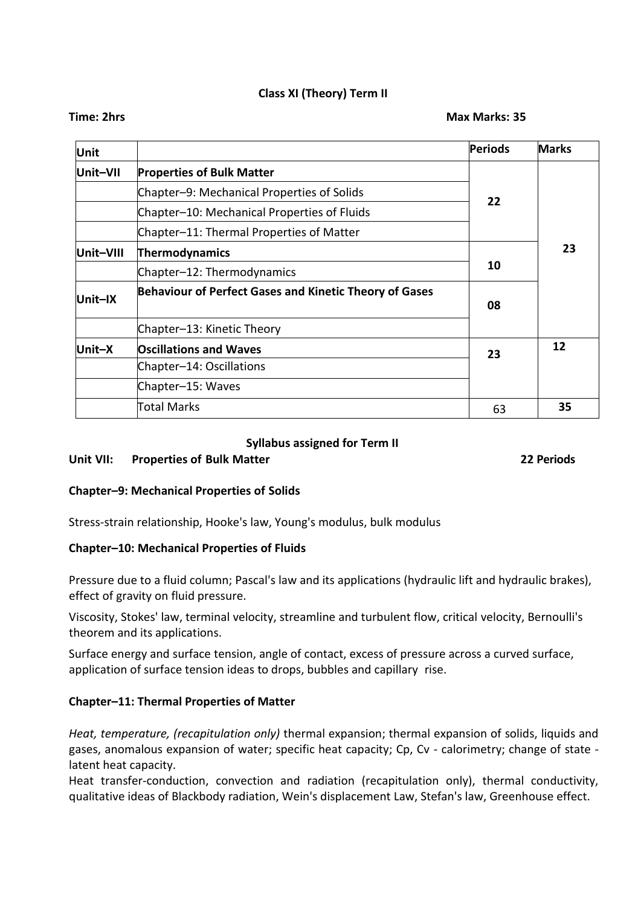# **Class XI (Theory) Term II**

| Unit      |                                                               | <b>Periods</b> | <b>Marks</b> |
|-----------|---------------------------------------------------------------|----------------|--------------|
| Unit-VII  | <b>Properties of Bulk Matter</b>                              |                |              |
|           | Chapter-9: Mechanical Properties of Solids                    |                |              |
|           | Chapter-10: Mechanical Properties of Fluids                   | 22             |              |
|           | Chapter-11: Thermal Properties of Matter                      |                |              |
| Unit-VIII | Thermodynamics                                                |                | 23           |
|           | Chapter-12: Thermodynamics                                    | 10             |              |
| Unit-IX   | <b>Behaviour of Perfect Gases and Kinetic Theory of Gases</b> | 08             |              |
|           | Chapter-13: Kinetic Theory                                    |                |              |
| Unit-X    | <b>Oscillations and Waves</b>                                 | 23             | 12           |
|           | Chapter-14: Oscillations                                      |                |              |
|           | Chapter-15: Waves                                             |                |              |
|           | <b>Total Marks</b>                                            | 63             | 35           |

#### **Syllabus assigned for Term II**

### **Unit VII: Properties of Bulk Matter 22 Periods**

#### **Chapter–9: Mechanical Properties of Solids**

Stress-strain relationship, Hooke's law, Young's modulus, bulk modulus

#### **Chapter–10: Mechanical Properties of Fluids**

Pressure due to a fluid column; Pascal's law and its applications (hydraulic lift and hydraulic brakes), effect of gravity on fluid pressure.

Viscosity, Stokes' law, terminal velocity, streamline and turbulent flow, critical velocity, Bernoulli's theorem and its applications.

Surface energy and surface tension, angle of contact, excess of pressure across a curved surface, application of surface tension ideas to drops, bubbles and capillary rise.

#### **Chapter–11: Thermal Properties of Matter**

*Heat, temperature, (recapitulation only)* thermal expansion; thermal expansion of solids, liquids and gases, anomalous expansion of water; specific heat capacity; Cp, Cv - calorimetry; change of state latent heat capacity.

Heat transfer-conduction, convection and radiation (recapitulation only), thermal conductivity, qualitative ideas of Blackbody radiation, Wein's displacement Law, Stefan's law, Greenhouse effect.

**Time: 2hrs Max Marks: 35**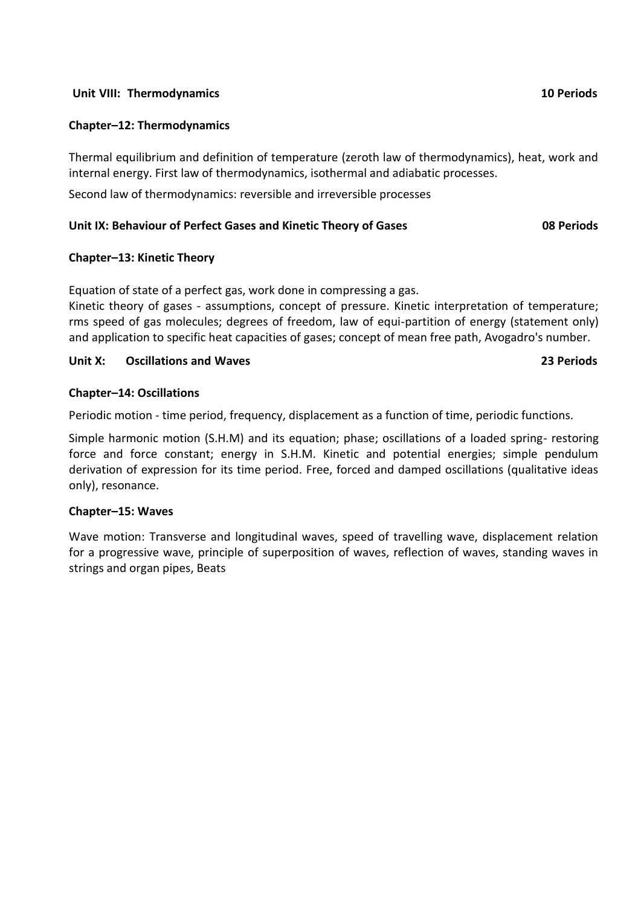# **Unit VIII: Thermodynamics 10 Periods**

# **Chapter–12: Thermodynamics**

Thermal equilibrium and definition of temperature (zeroth law of thermodynamics), heat, work and internal energy. First law of thermodynamics, isothermal and adiabatic processes.

Second law of thermodynamics: reversible and irreversible processes

# **Unit IX: Behaviour of Perfect Gases and Kinetic Theory of Gases 08 Periods**

### **Chapter–13: Kinetic Theory**

Equation of state of a perfect gas, work done in compressing a gas.

Kinetic theory of gases - assumptions, concept of pressure. Kinetic interpretation of temperature; rms speed of gas molecules; degrees of freedom, law of equi-partition of energy (statement only) and application to specific heat capacities of gases; concept of mean free path, Avogadro's number.

### **Unit X: Oscillations and Waves 23 Periods**

### **Chapter–14: Oscillations**

Periodic motion - time period, frequency, displacement as a function of time, periodic functions.

Simple harmonic motion (S.H.M) and its equation; phase; oscillations of a loaded spring- restoring force and force constant; energy in S.H.M. Kinetic and potential energies; simple pendulum derivation of expression for its time period. Free, forced and damped oscillations (qualitative ideas only), resonance.

#### **Chapter–15: Waves**

Wave motion: Transverse and longitudinal waves, speed of travelling wave, displacement relation for a progressive wave, principle of superposition of waves, reflection of waves, standing waves in strings and organ pipes, Beats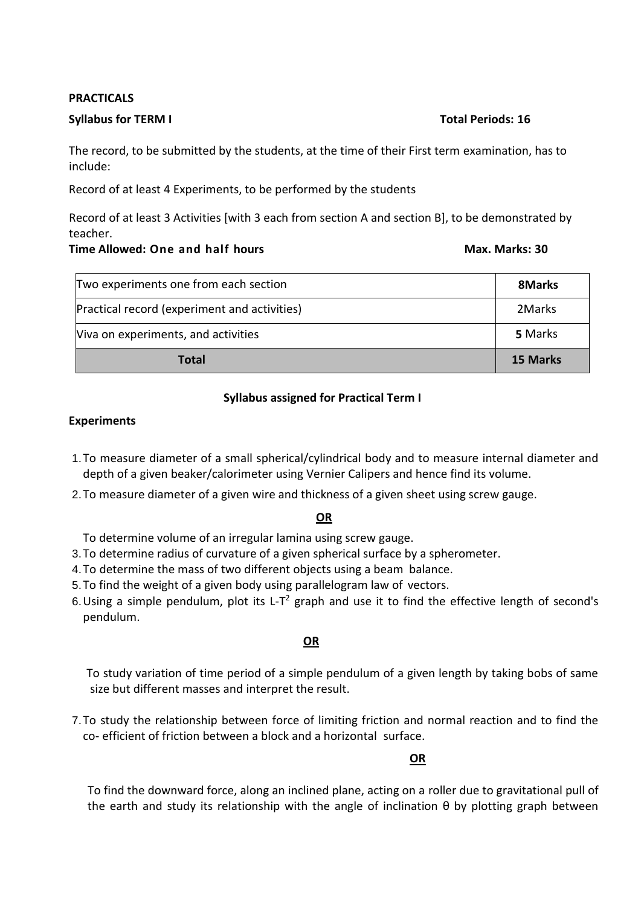#### **PRACTICALS**

#### **Syllabus for TERM I Total Periods: 16**

The record, to be submitted by the students, at the time of their First term examination, has to include:

Record of at least 4 Experiments, to be performed by the students

Record of at least 3 Activities [with 3 each from section A and section B], to be demonstrated by teacher.

#### **Time Allowed: One and half hours Max. Marks: 30**

| Two experiments one from each section        | 8Marks   |
|----------------------------------------------|----------|
| Practical record (experiment and activities) | 2Marks   |
| Viva on experiments, and activities          | 5 Marks  |
| Total                                        | 15 Marks |

# **Syllabus assigned for Practical Term I**

#### **Experiments**

- 1.To measure diameter of a small spherical/cylindrical body and to measure internal diameter and depth of a given beaker/calorimeter using Vernier Calipers and hence find its volume.
- 2.To measure diameter of a given wire and thickness of a given sheet using screw gauge.

# **OR**

To determine volume of an irregular lamina using screw gauge.

- 3.To determine radius of curvature of a given spherical surface by a spherometer.
- 4.To determine the mass of two different objects using a beam balance.
- 5.To find the weight of a given body using parallelogram law of vectors.
- 6. Using a simple pendulum, plot its L-T<sup>2</sup> graph and use it to find the effective length of second's pendulum.

# **OR**

To study variation of time period of a simple pendulum of a given length by taking bobs of same size but different masses and interpret the result.

7.To study the relationship between force of limiting friction and normal reaction and to find the co- efficient of friction between a block and a horizontal surface.

# **OR**

To find the downward force, along an inclined plane, acting on a roller due to gravitational pull of the earth and study its relationship with the angle of inclination θ by plotting graph between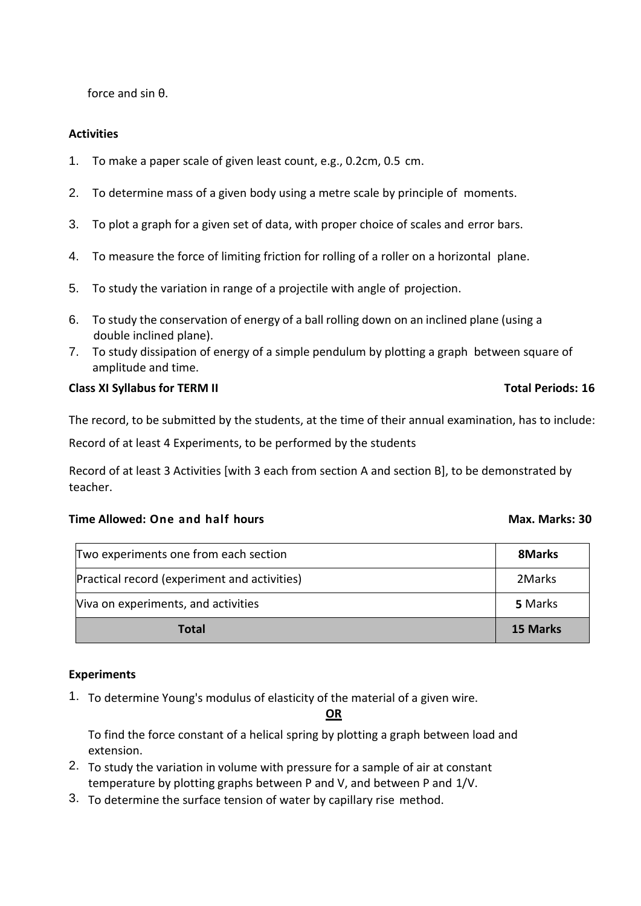force and sin θ.

# **Activities**

- 1. To make a paper scale of given least count, e.g., 0.2cm, 0.5 cm.
- 2. To determine mass of a given body using a metre scale by principle of moments.
- 3. To plot a graph for a given set of data, with proper choice of scales and error bars.
- 4. To measure the force of limiting friction for rolling of a roller on a horizontal plane.
- 5. To study the variation in range of a projectile with angle of projection.
- 6. To study the conservation of energy of a ball rolling down on an inclined plane (using a double inclined plane).
- 7. To study dissipation of energy of a simple pendulum by plotting a graph between square of amplitude and time.

#### **Class XI Syllabus for TERM II** The Class XI Syllabus for TERM II The Class of Total Periods: 16

The record, to be submitted by the students, at the time of their annual examination, has to include:

Record of at least 4 Experiments, to be performed by the students

Record of at least 3 Activities [with 3 each from section A and section B], to be demonstrated by teacher.

#### **Time Allowed:** One and half hours Max. Marks: 30

| Two experiments one from each section        | 8Marks          |
|----------------------------------------------|-----------------|
| Practical record (experiment and activities) | 2Marks          |
| Viva on experiments, and activities          | 5 Marks         |
| <b>Total</b>                                 | <b>15 Marks</b> |

#### **Experiments**

1. To determine Young's modulus of elasticity of the material of a given wire.

#### **OR**

To find the force constant of a helical spring by plotting a graph between load and extension.

- 2. To study the variation in volume with pressure for a sample of air at constant temperature by plotting graphs between P and V, and between P and 1/V.
- 3. To determine the surface tension of water by capillary rise method.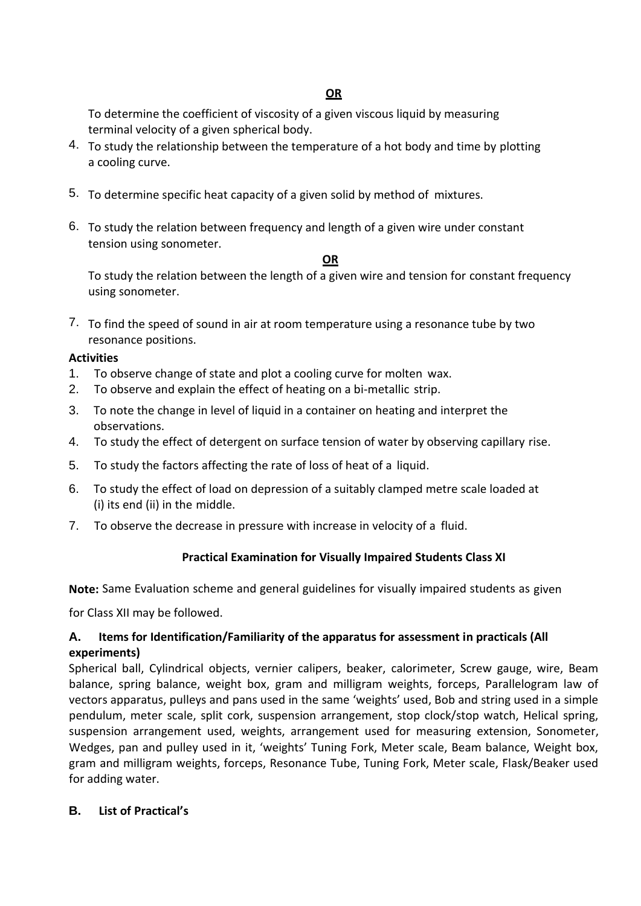To determine the coefficient of viscosity of a given viscous liquid by measuring terminal velocity of a given spherical body.

- 4. To study the relationship between the temperature of a hot body and time by plotting a cooling curve.
- 5. To determine specific heat capacity of a given solid by method of mixtures.
- 6. To study the relation between frequency and length of a given wire under constant tension using sonometer.

### **OR**

To study the relation between the length of a given wire and tension for constant frequency using sonometer.

7. To find the speed of sound in air at room temperature using a resonance tube by two resonance positions.

### **Activities**

- 1. To observe change of state and plot a cooling curve for molten wax.
- 2. To observe and explain the effect of heating on a bi-metallic strip.
- 3. To note the change in level of liquid in a container on heating and interpret the observations.
- 4. To study the effect of detergent on surface tension of water by observing capillary rise.
- 5. To study the factors affecting the rate of loss of heat of a liquid.
- 6. To study the effect of load on depression of a suitably clamped metre scale loaded at (i) its end (ii) in the middle.
- 7. To observe the decrease in pressure with increase in velocity of a fluid.

# **Practical Examination for Visually Impaired Students Class XI**

**Note:** Same Evaluation scheme and general guidelines for visually impaired students as given

for Class XII may be followed.

# **A. Items for Identification/Familiarity of the apparatus for assessment in practicals (All experiments)**

Spherical ball, Cylindrical objects, vernier calipers, beaker, calorimeter, Screw gauge, wire, Beam balance, spring balance, weight box, gram and milligram weights, forceps, Parallelogram law of vectors apparatus, pulleys and pans used in the same 'weights' used, Bob and string used in a simple pendulum, meter scale, split cork, suspension arrangement, stop clock/stop watch, Helical spring, suspension arrangement used, weights, arrangement used for measuring extension, Sonometer, Wedges, pan and pulley used in it, 'weights' Tuning Fork, Meter scale, Beam balance, Weight box, gram and milligram weights, forceps, Resonance Tube, Tuning Fork, Meter scale, Flask/Beaker used for adding water.

# **B. List of Practical's**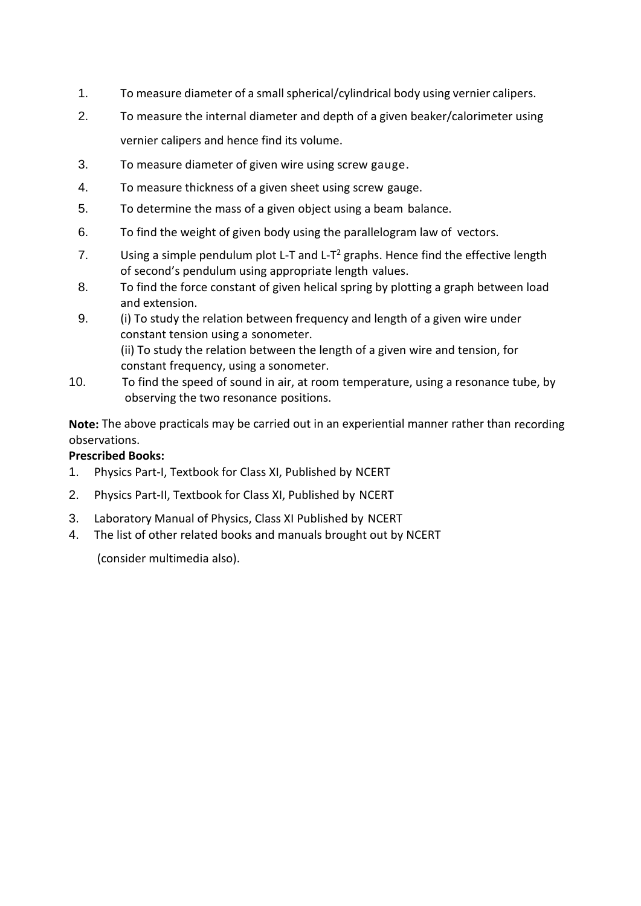- 1. To measure diameter of a small spherical/cylindrical body using vernier calipers.
- 2. To measure the internal diameter and depth of a given beaker/calorimeter using vernier calipers and hence find its volume.
- 3. To measure diameter of given wire using screw gauge.
- 4. To measure thickness of a given sheet using screw gauge.
- 5. To determine the mass of a given object using a beam balance.
- 6. To find the weight of given body using the parallelogram law of vectors.
- 7. Using a simple pendulum plot L-T and L-T<sup>2</sup> graphs. Hence find the effective length of second's pendulum using appropriate length values.
- 8. To find the force constant of given helical spring by plotting a graph between load and extension.
- 9. (i) To study the relation between frequency and length of a given wire under constant tension using a sonometer. (ii) To study the relation between the length of a given wire and tension, for constant frequency, using a sonometer.
- 10. To find the speed of sound in air, at room temperature, using a resonance tube, by observing the two resonance positions.

**Note:** The above practicals may be carried out in an experiential manner rather than recording observations.

# **Prescribed Books:**

- 1. Physics Part-I, Textbook for Class XI, Published by NCERT
- 2. Physics Part-II, Textbook for Class XI, Published by NCERT
- 3. Laboratory Manual of Physics, Class XI Published by NCERT
- 4. The list of other related books and manuals brought out by NCERT

(consider multimedia also).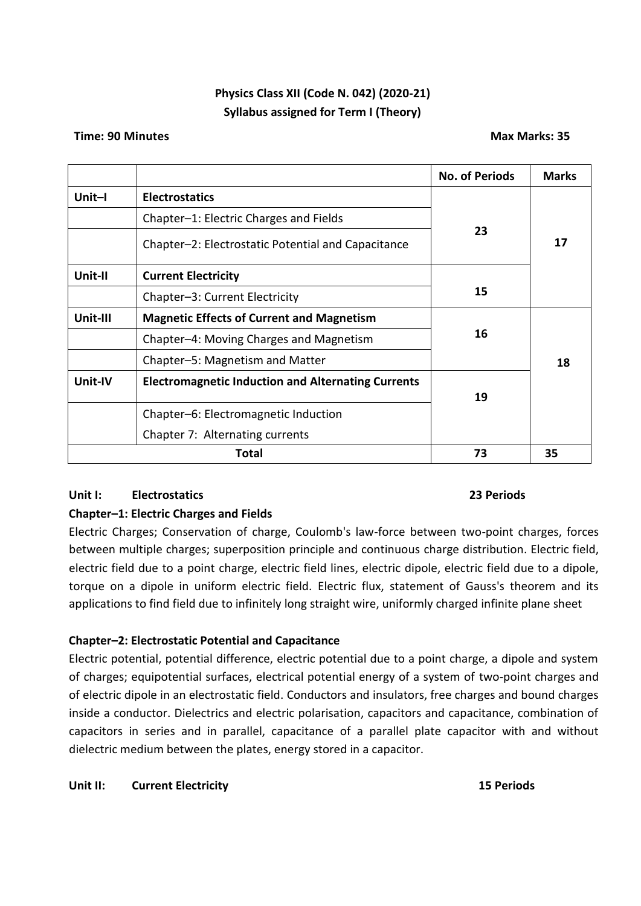# **Physics Class XII (Code N. 042) (2020-21) Syllabus assigned for Term I (Theory)**

#### **Time: 90 Minutes Max Marks: 35**

|          |                                                           | <b>No. of Periods</b> | <b>Marks</b> |
|----------|-----------------------------------------------------------|-----------------------|--------------|
| Unit-I   | <b>Electrostatics</b>                                     |                       |              |
|          | Chapter-1: Electric Charges and Fields                    |                       |              |
|          | Chapter-2: Electrostatic Potential and Capacitance        | 23                    | 17           |
| Unit-II  | <b>Current Electricity</b>                                |                       |              |
|          | Chapter-3: Current Electricity                            | 15                    |              |
| Unit-III | <b>Magnetic Effects of Current and Magnetism</b>          |                       |              |
|          | Chapter-4: Moving Charges and Magnetism                   | 16                    |              |
|          | Chapter-5: Magnetism and Matter                           |                       | 18           |
| Unit-IV  | <b>Electromagnetic Induction and Alternating Currents</b> | 19                    |              |
|          | Chapter-6: Electromagnetic Induction                      |                       |              |
|          | Chapter 7: Alternating currents                           |                       |              |
|          | Total                                                     | 73                    | 35           |

# **Unit I: Electrostatics 23 Periods**

# **Chapter–1: Electric Charges and Fields**

Electric Charges; Conservation of charge, Coulomb's law-force between two-point charges, forces between multiple charges; superposition principle and continuous charge distribution. Electric field, electric field due to a point charge, electric field lines, electric dipole, electric field due to a dipole, torque on a dipole in uniform electric field. Electric flux, statement of Gauss's theorem and its applications to find field due to infinitely long straight wire, uniformly charged infinite plane sheet

# **Chapter–2: Electrostatic Potential and Capacitance**

Electric potential, potential difference, electric potential due to a point charge, a dipole and system of charges; equipotential surfaces, electrical potential energy of a system of two-point charges and of electric dipole in an electrostatic field. Conductors and insulators, free charges and bound charges inside a conductor. Dielectrics and electric polarisation, capacitors and capacitance, combination of capacitors in series and in parallel, capacitance of a parallel plate capacitor with and without dielectric medium between the plates, energy stored in a capacitor.

# **Unit II: Current Electricity 15 Periods**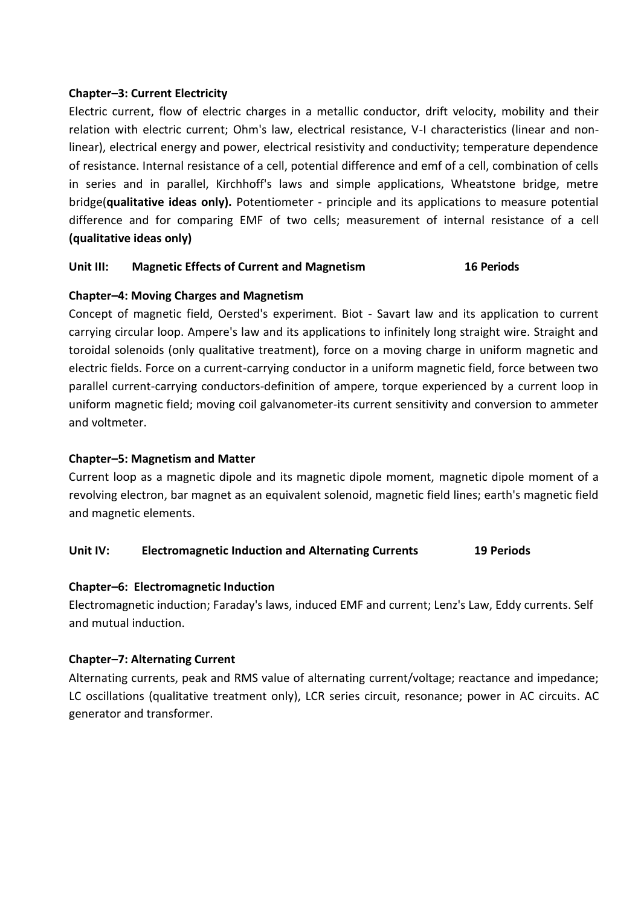# **Chapter–3: Current Electricity**

Electric current, flow of electric charges in a metallic conductor, drift velocity, mobility and their relation with electric current; Ohm's law, electrical resistance, V-I characteristics (linear and nonlinear), electrical energy and power, electrical resistivity and conductivity; temperature dependence of resistance. Internal resistance of a cell, potential difference and emf of a cell, combination of cells in series and in parallel, Kirchhoff's laws and simple applications, Wheatstone bridge, metre bridge(**qualitative ideas only).** Potentiometer - principle and its applications to measure potential difference and for comparing EMF of two cells; measurement of internal resistance of a cell **(qualitative ideas only)**

### **Unit III: Magnetic Effects of Current and Magnetism 16 Periods**

### **Chapter–4: Moving Charges and Magnetism**

Concept of magnetic field, Oersted's experiment. Biot - Savart law and its application to current carrying circular loop. Ampere's law and its applications to infinitely long straight wire. Straight and toroidal solenoids (only qualitative treatment), force on a moving charge in uniform magnetic and electric fields. Force on a current-carrying conductor in a uniform magnetic field, force between two parallel current-carrying conductors-definition of ampere, torque experienced by a current loop in uniform magnetic field; moving coil galvanometer-its current sensitivity and conversion to ammeter and voltmeter.

### **Chapter–5: Magnetism and Matter**

Current loop as a magnetic dipole and its magnetic dipole moment, magnetic dipole moment of a revolving electron, bar magnet as an equivalent solenoid, magnetic field lines; earth's magnetic field and magnetic elements.

#### **Unit IV: Electromagnetic Induction and Alternating Currents 19 Periods**

#### **Chapter–6: Electromagnetic Induction**

Electromagnetic induction; Faraday's laws, induced EMF and current; Lenz's Law, Eddy currents. Self and mutual induction.

#### **Chapter–7: Alternating Current**

Alternating currents, peak and RMS value of alternating current/voltage; reactance and impedance; LC oscillations (qualitative treatment only), LCR series circuit, resonance; power in AC circuits. AC generator and transformer.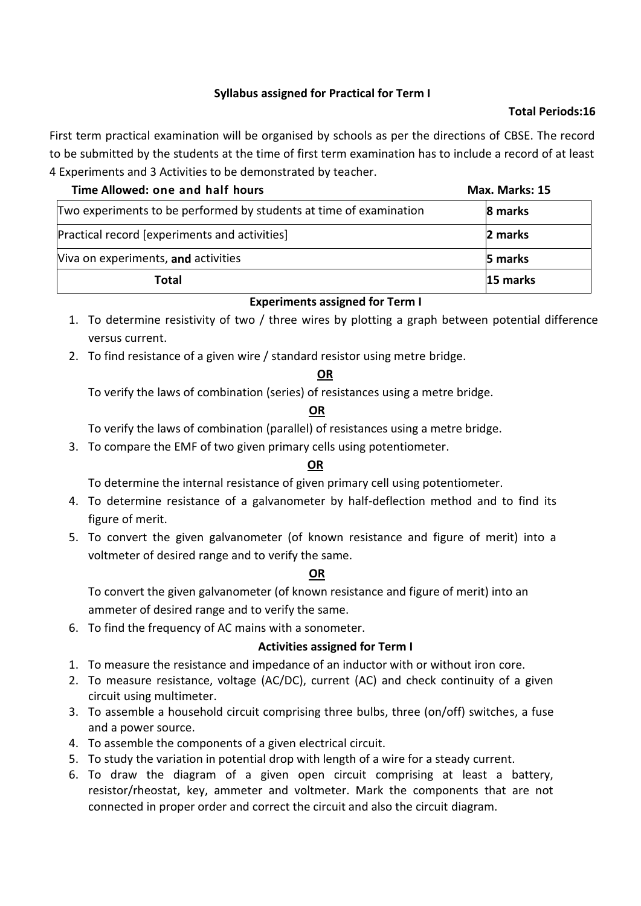# **Syllabus assigned for Practical for Term I**

### **Total Periods:16**

First term practical examination will be organised by schools as per the directions of CBSE. The record to be submitted by the students at the time of first term examination has to include a record of at least 4 Experiments and 3 Activities to be demonstrated by teacher.

| Time Allowed: one and half hours                                   | Max. Marks: 15 |
|--------------------------------------------------------------------|----------------|
| Two experiments to be performed by students at time of examination | 8 marks        |
| Practical record [experiments and activities]                      | 2 marks        |
| Viva on experiments, and activities                                | 5 marks        |
| Total                                                              | 15 marks       |

# **Experiments assigned for Term I**

- 1. To determine resistivity of two / three wires by plotting a graph between potential difference versus current.
- 2. To find resistance of a given wire / standard resistor using metre bridge.

### **OR**

To verify the laws of combination (series) of resistances using a metre bridge.

### **OR**

To verify the laws of combination (parallel) of resistances using a metre bridge.

3. To compare the EMF of two given primary cells using potentiometer.

# **OR**

To determine the internal resistance of given primary cell using potentiometer.

- 4. To determine resistance of a galvanometer by half-deflection method and to find its figure of merit.
- 5. To convert the given galvanometer (of known resistance and figure of merit) into a voltmeter of desired range and to verify the same.

# **OR**

To convert the given galvanometer (of known resistance and figure of merit) into an ammeter of desired range and to verify the same.

6. To find the frequency of AC mains with a sonometer.

# **Activities assigned for Term I**

- 1. To measure the resistance and impedance of an inductor with or without iron core.
- 2. To measure resistance, voltage (AC/DC), current (AC) and check continuity of a given circuit using multimeter.
- 3. To assemble a household circuit comprising three bulbs, three (on/off) switches, a fuse and a power source.
- 4. To assemble the components of a given electrical circuit.
- 5. To study the variation in potential drop with length of a wire for a steady current.
- 6. To draw the diagram of a given open circuit comprising at least a battery, resistor/rheostat, key, ammeter and voltmeter. Mark the components that are not connected in proper order and correct the circuit and also the circuit diagram.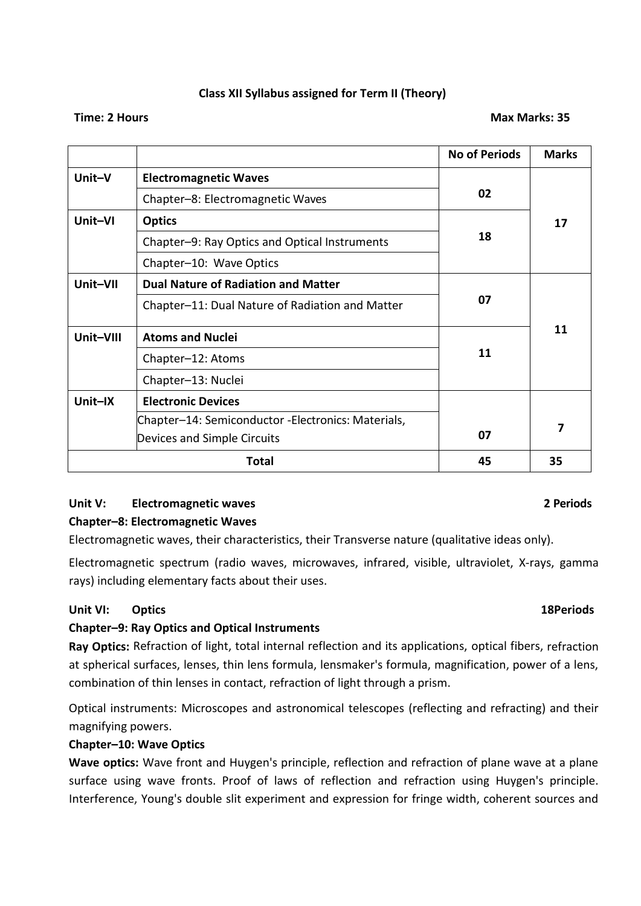# **Class XII Syllabus assigned for Term II (Theory)**

#### **Time: 2 Hours Max Marks: 35**

|           |                                                    | <b>No of Periods</b> | <b>Marks</b> |
|-----------|----------------------------------------------------|----------------------|--------------|
| Unit-V    | <b>Electromagnetic Waves</b>                       |                      |              |
|           | Chapter-8: Electromagnetic Waves                   | 02                   |              |
| Unit-VI   | <b>Optics</b>                                      |                      | 17           |
|           | Chapter-9: Ray Optics and Optical Instruments      | 18                   |              |
|           | Chapter-10: Wave Optics                            |                      |              |
| Unit-VII  | <b>Dual Nature of Radiation and Matter</b>         |                      |              |
|           | Chapter-11: Dual Nature of Radiation and Matter    | 07                   |              |
| Unit-VIII | <b>Atoms and Nuclei</b>                            |                      | 11           |
|           | Chapter-12: Atoms                                  | 11                   |              |
|           | Chapter-13: Nuclei                                 |                      |              |
| Unit-IX   | <b>Electronic Devices</b>                          |                      |              |
|           | Chapter-14: Semiconductor -Electronics: Materials, |                      | 7            |
|           | Devices and Simple Circuits                        | 07                   |              |
|           | Total                                              | 45                   | 35           |

# **Unit V: Electromagnetic waves 2 Periods**

# **Chapter–8: Electromagnetic Waves**

Electromagnetic waves, their characteristics, their Transverse nature (qualitative ideas only).

Electromagnetic spectrum (radio waves, microwaves, infrared, visible, ultraviolet, X-rays, gamma rays) including elementary facts about their uses.

# **Unit VI: Optics 18Periods**

# **Chapter–9: Ray Optics and Optical Instruments**

**Ray Optics:** Refraction of light, total internal reflection and its applications, optical fibers, refraction at spherical surfaces, lenses, thin lens formula, lensmaker's formula, magnification, power of a lens, combination of thin lenses in contact, refraction of light through a prism.

Optical instruments: Microscopes and astronomical telescopes (reflecting and refracting) and their magnifying powers.

# **Chapter–10: Wave Optics**

**Wave optics:** Wave front and Huygen's principle, reflection and refraction of plane wave at a plane surface using wave fronts. Proof of laws of reflection and refraction using Huygen's principle. Interference, Young's double slit experiment and expression for fringe width, coherent sources and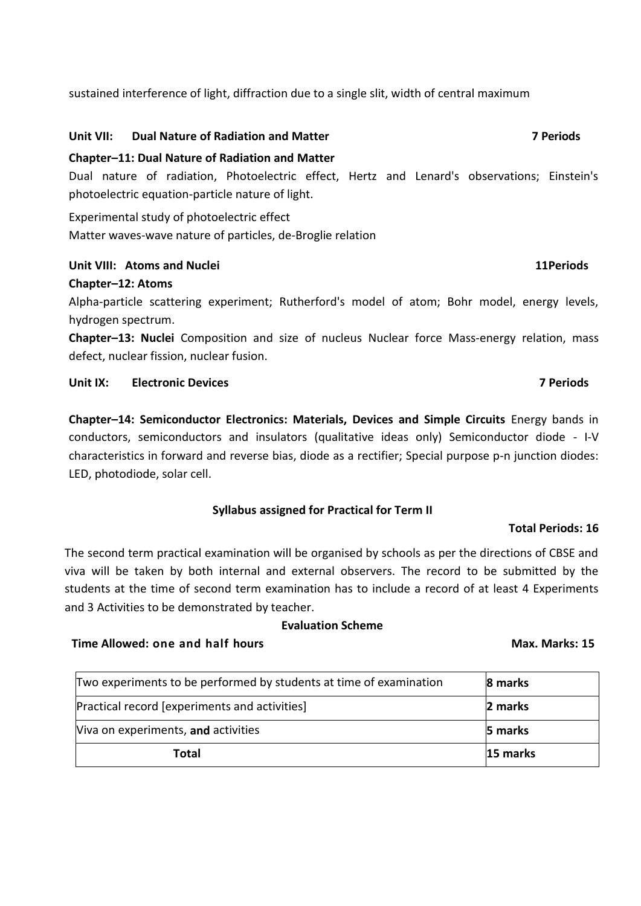sustained interference of light, diffraction due to a single slit, width of central maximum

### **Unit VII: Dual Nature of Radiation and Matter 7 Periods**

### **Chapter–11: Dual Nature of Radiation and Matter**

Dual nature of radiation, Photoelectric effect, Hertz and Lenard's observations; Einstein's photoelectric equation-particle nature of light.

Experimental study of photoelectric effect Matter waves-wave nature of particles, de-Broglie relation

### **Unit VIII: Atoms and Nuclei 11Periods**

### **Chapter–12: Atoms**

Alpha-particle scattering experiment; Rutherford's model of atom; Bohr model, energy levels, hydrogen spectrum.

**Chapter–13: Nuclei** Composition and size of nucleus Nuclear force Mass-energy relation, mass defect, nuclear fission, nuclear fusion.

# **Unit IX: Electronic Devices 7 Periods**

**Chapter–14: Semiconductor Electronics: Materials, Devices and Simple Circuits** Energy bands in conductors, semiconductors and insulators (qualitative ideas only) Semiconductor diode - I-V characteristics in forward and reverse bias, diode as a rectifier; Special purpose p-n junction diodes: LED, photodiode, solar cell.

# **Syllabus assigned for Practical for Term II**

#### **Total Periods: 16**

The second term practical examination will be organised by schools as per the directions of CBSE and viva will be taken by both internal and external observers. The record to be submitted by the students at the time of second term examination has to include a record of at least 4 Experiments and 3 Activities to be demonstrated by teacher.

#### **Evaluation Scheme**

#### **Time Allowed:** one and half hours May. Max. Marks: 15

| Two experiments to be performed by students at time of examination | 8 marks        |
|--------------------------------------------------------------------|----------------|
| Practical record [experiments and activities]                      | 2 marks        |
| Viva on experiments, and activities                                | <b>5 marks</b> |
| Total                                                              | 15 marks       |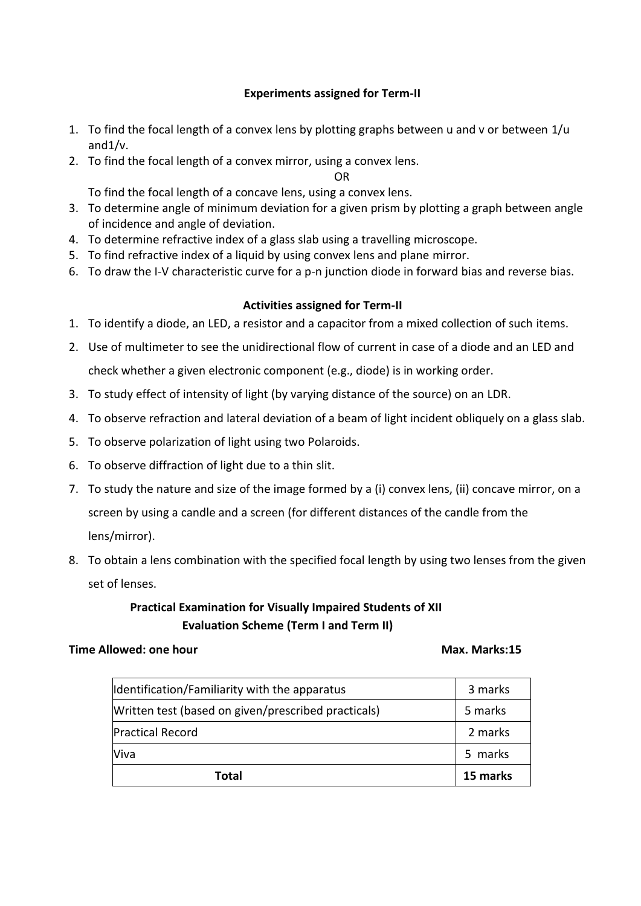# **Experiments assigned for Term-II**

- 1. To find the focal length of a convex lens by plotting graphs between u and v or between  $1/u$ and1/v.
- 2. To find the focal length of a convex mirror, using a convex lens.

OR

To find the focal length of a concave lens, using a convex lens.

- 3. To determine angle of minimum deviation for a given prism by plotting a graph between angle of incidence and angle of deviation.
- 4. To determine refractive index of a glass slab using a travelling microscope.
- 5. To find refractive index of a liquid by using convex lens and plane mirror.
- 6. To draw the I-V characteristic curve for a p-n junction diode in forward bias and reverse bias.

#### **Activities assigned for Term-II**

- 1. To identify a diode, an LED, a resistor and a capacitor from a mixed collection of such items.
- 2. Use of multimeter to see the unidirectional flow of current in case of a diode and an LED and check whether a given electronic component (e.g., diode) is in working order.
- 3. To study effect of intensity of light (by varying distance of the source) on an LDR.
- 4. To observe refraction and lateral deviation of a beam of light incident obliquely on a glass slab.
- 5. To observe polarization of light using two Polaroids.
- 6. To observe diffraction of light due to a thin slit.
- 7. To study the nature and size of the image formed by a (i) convex lens, (ii) concave mirror, on a screen by using a candle and a screen (for different distances of the candle from the lens/mirror).
- 8. To obtain a lens combination with the specified focal length by using two lenses from the given set of lenses.

# **Practical Examination for Visually Impaired Students of XII Evaluation Scheme (Term I and Term II)**

#### **Time Allowed: one hour Max. Marks:15**

| Identification/Familiarity with the apparatus       | 3 marks  |
|-----------------------------------------------------|----------|
| Written test (based on given/prescribed practicals) | 5 marks  |
| <b>Practical Record</b>                             | 2 marks  |
| Viva                                                | 5 marks  |
| Total                                               | 15 marks |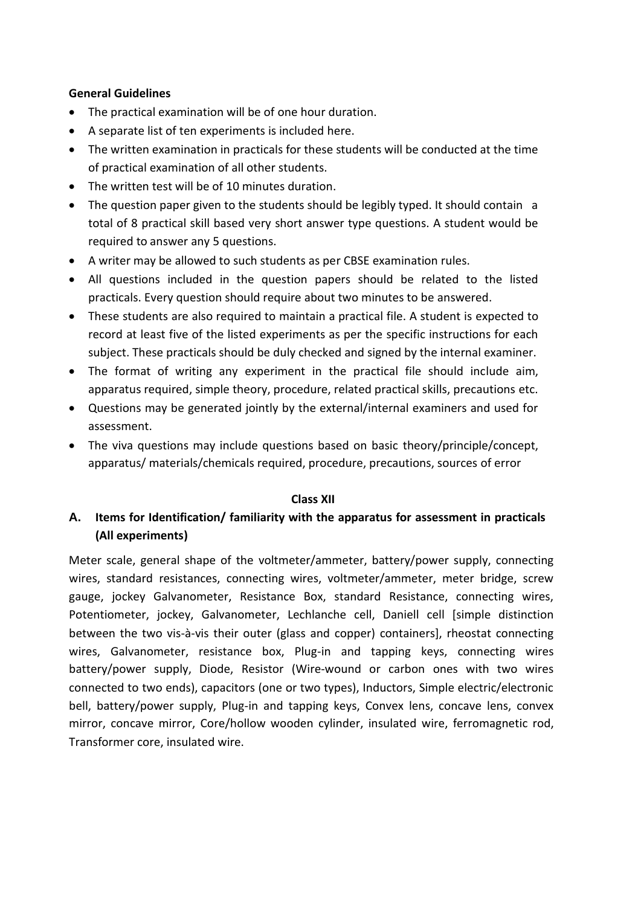#### **General Guidelines**

- The practical examination will be of one hour duration.
- A separate list of ten experiments is included here.
- The written examination in practicals for these students will be conducted at the time of practical examination of all other students.
- The written test will be of 10 minutes duration.
- The question paper given to the students should be legibly typed. It should contain a total of 8 practical skill based very short answer type questions. A student would be required to answer any 5 questions.
- A writer may be allowed to such students as per CBSE examination rules.
- All questions included in the question papers should be related to the listed practicals. Every question should require about two minutes to be answered.
- These students are also required to maintain a practical file. A student is expected to record at least five of the listed experiments as per the specific instructions for each subject. These practicals should be duly checked and signed by the internal examiner.
- The format of writing any experiment in the practical file should include aim, apparatus required, simple theory, procedure, related practical skills, precautions etc.
- Questions may be generated jointly by the external/internal examiners and used for assessment.
- The viva questions may include questions based on basic theory/principle/concept, apparatus/ materials/chemicals required, procedure, precautions, sources of error

# **Class XII**

# **A. Items for Identification/ familiarity with the apparatus for assessment in practicals (All experiments)**

Meter scale, general shape of the voltmeter/ammeter, battery/power supply, connecting wires, standard resistances, connecting wires, voltmeter/ammeter, meter bridge, screw gauge, jockey Galvanometer, Resistance Box, standard Resistance, connecting wires, Potentiometer, jockey, Galvanometer, Lechlanche cell, Daniell cell [simple distinction between the two vis-à-vis their outer (glass and copper) containers], rheostat connecting wires, Galvanometer, resistance box, Plug-in and tapping keys, connecting wires battery/power supply, Diode, Resistor (Wire-wound or carbon ones with two wires connected to two ends), capacitors (one or two types), Inductors, Simple electric/electronic bell, battery/power supply, Plug-in and tapping keys, Convex lens, concave lens, convex mirror, concave mirror, Core/hollow wooden cylinder, insulated wire, ferromagnetic rod, Transformer core, insulated wire.